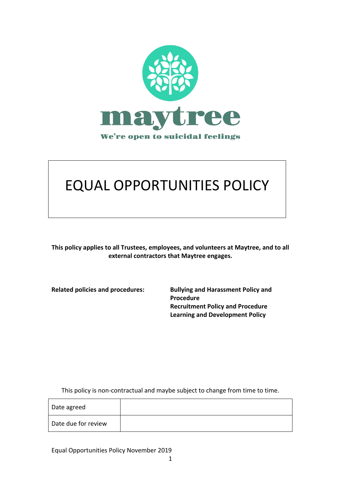

# **EQUAL OPPORTUNITIES POLICY**

This policy applies to all Trustees, employees, and volunteers at Maytree, and to all external contractors that Maytree engages.

**Related policies and procedures: Bullying and Harassment Policy and Procedure Recruitment Policy and Procedure Learning and Development Policy** 

This policy is non-contractual and maybe subject to change from time to time.

| Date agreed         |  |
|---------------------|--|
| Date due for review |  |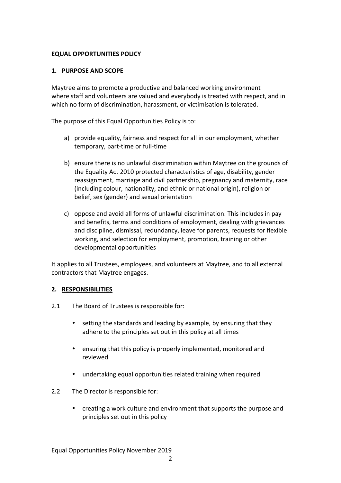# **EQUAL OPPORTUNITIES POLICY**

## 1. PURPOSE AND SCOPE

Maytree aims to promote a productive and balanced working environment where staff and volunteers are valued and everybody is treated with respect, and in which no form of discrimination, harassment, or victimisation is tolerated.

The purpose of this Equal Opportunities Policy is to:

- a) provide equality, fairness and respect for all in our employment, whether temporary, part-time or full-time
- b) ensure there is no unlawful discrimination within Maytree on the grounds of the Equality Act 2010 protected characteristics of age, disability, gender reassignment, marriage and civil partnership, pregnancy and maternity, race (including colour, nationality, and ethnic or national origin), religion or belief, sex (gender) and sexual orientation
- c) oppose and avoid all forms of unlawful discrimination. This includes in pay and benefits, terms and conditions of employment, dealing with grievances and discipline, dismissal, redundancy, leave for parents, requests for flexible working, and selection for employment, promotion, training or other developmental opportunities

It applies to all Trustees, employees, and volunteers at Maytree, and to all external contractors that Maytree engages.

### **2. RESPONSIBILITIES**

- 2.1 The Board of Trustees is responsible for:
	- setting the standards and leading by example, by ensuring that they adhere to the principles set out in this policy at all times
	- ensuring that this policy is properly implemented, monitored and reviewed
	- undertaking equal opportunities related training when required
- 2.2 The Director is responsible for:
	- creating a work culture and environment that supports the purpose and principles set out in this policy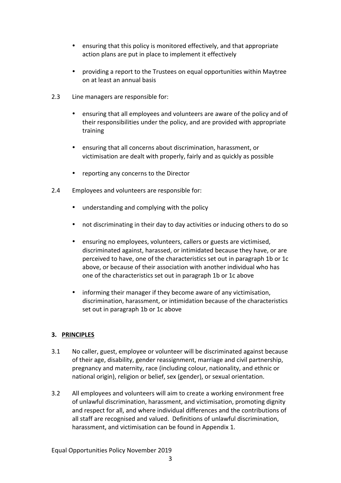- ensuring that this policy is monitored effectively, and that appropriate action plans are put in place to implement it effectively
- providing a report to the Trustees on equal opportunities within Maytree on at least an annual basis
- 2.3 Line managers are responsible for:
	- ensuring that all employees and volunteers are aware of the policy and of their responsibilities under the policy, and are provided with appropriate training
	- ensuring that all concerns about discrimination, harassment, or victimisation are dealt with properly, fairly and as quickly as possible
	- reporting any concerns to the Director
- 2.4 Employees and volunteers are responsible for:
	- understanding and complying with the policy
	- not discriminating in their day to day activities or inducing others to do so
	- ensuring no employees, volunteers, callers or guests are victimised, discriminated against, harassed, or intimidated because they have, or are perceived to have, one of the characteristics set out in paragraph 1b or 1c above, or because of their association with another individual who has one of the characteristics set out in paragraph 1b or 1c above
	- informing their manager if they become aware of any victimisation, discrimination, harassment, or intimidation because of the characteristics set out in paragraph 1b or 1c above

# **3. PRINCIPLES**

- 3.1 No caller, guest, employee or volunteer will be discriminated against because of their age, disability, gender reassignment, marriage and civil partnership, pregnancy and maternity, race (including colour, nationality, and ethnic or national origin), religion or belief, sex (gender), or sexual orientation.
- 3.2 All employees and volunteers will aim to create a working environment free of unlawful discrimination, harassment, and victimisation, promoting dignity and respect for all, and where individual differences and the contributions of all staff are recognised and valued. Definitions of unlawful discrimination, harassment, and victimisation can be found in Appendix 1.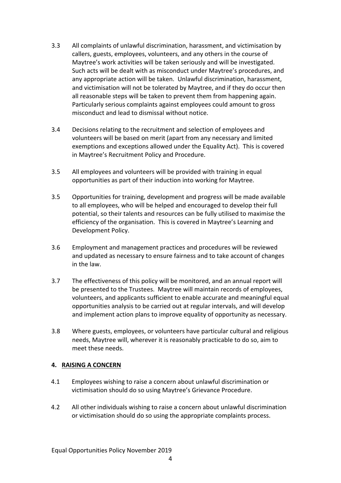- 3.3 All complaints of unlawful discrimination, harassment, and victimisation by callers, guests, employees, volunteers, and any others in the course of Maytree's work activities will be taken seriously and will be investigated. Such acts will be dealt with as misconduct under Maytree's procedures, and any appropriate action will be taken. Unlawful discrimination, harassment, and victimisation will not be tolerated by Maytree, and if they do occur then all reasonable steps will be taken to prevent them from happening again. Particularly serious complaints against employees could amount to gross misconduct and lead to dismissal without notice.
- 3.4 Decisions relating to the recruitment and selection of employees and volunteers will be based on merit (apart from any necessary and limited exemptions and exceptions allowed under the Equality Act). This is covered in Maytree's Recruitment Policy and Procedure.
- 3.5 All employees and volunteers will be provided with training in equal opportunities as part of their induction into working for Maytree.
- 3.5 Opportunities for training, development and progress will be made available to all employees, who will be helped and encouraged to develop their full potential, so their talents and resources can be fully utilised to maximise the efficiency of the organisation. This is covered in Maytree's Learning and Development Policy.
- 3.6 Employment and management practices and procedures will be reviewed and updated as necessary to ensure fairness and to take account of changes in the law.
- 3.7 The effectiveness of this policy will be monitored, and an annual report will be presented to the Trustees. Maytree will maintain records of employees, volunteers, and applicants sufficient to enable accurate and meaningful equal opportunities analysis to be carried out at regular intervals, and will develop and implement action plans to improve equality of opportunity as necessary.
- 3.8 Where guests, employees, or volunteers have particular cultural and religious needs, Maytree will, wherever it is reasonably practicable to do so, aim to meet these needs.

# **4. RAISING A CONCERN**

- 4.1 Employees wishing to raise a concern about unlawful discrimination or victimisation should do so using Maytree's Grievance Procedure.
- 4.2 All other individuals wishing to raise a concern about unlawful discrimination or victimisation should do so using the appropriate complaints process.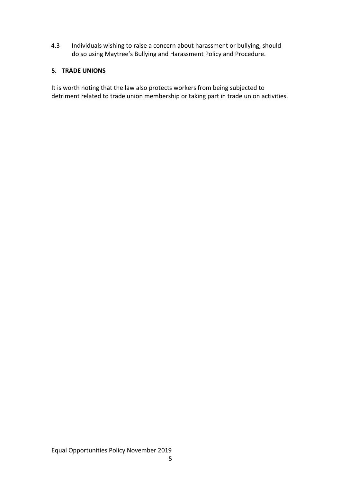4.3 Individuals wishing to raise a concern about harassment or bullying, should do so using Maytree's Bullying and Harassment Policy and Procedure.

# **5. TRADE UNIONS**

It is worth noting that the law also protects workers from being subjected to detriment related to trade union membership or taking part in trade union activities.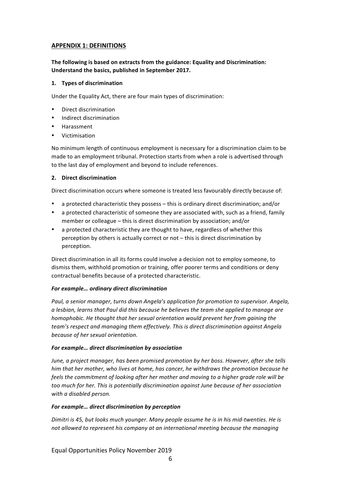# **APPENDIX 1: DEFINITIONS**

## **The following is based on extracts from the guidance: Equality and Discrimination: Understand the basics, published in September 2017.**

#### 1. **Types of discrimination**

Under the Equality Act, there are four main types of discrimination:

- Direct discrimination
- Indirect discrimination
- Harassment
- Victimisation

No minimum length of continuous employment is necessary for a discrimination claim to be made to an employment tribunal. Protection starts from when a role is advertised through to the last day of employment and beyond to include references.

### **2. Direct discrimination**

Direct discrimination occurs where someone is treated less favourably directly because of:

- a protected characteristic they possess this is ordinary direct discrimination; and/or
- a protected characteristic of someone they are associated with, such as a friend, family member or colleague – this is direct discrimination by association; and/or
- a protected characteristic they are thought to have, regardless of whether this perception by others is actually correct or not  $-$  this is direct discrimination by perception.

Direct discrimination in all its forms could involve a decision not to employ someone, to dismiss them, withhold promotion or training, offer poorer terms and conditions or deny contractual benefits because of a protected characteristic.

### For example... ordinary direct discrimination

Paul, a senior manager, turns down Angela's application for promotion to supervisor. Angela, *a* lesbian, learns that Paul did this because he believes the team she applied to manage are *homophobic.* He thought that her sexual orientation would prevent her from gaining the *team's respect and managing them effectively. This is direct discrimination against Angela* because of her sexual orientation.

### For example... direct discrimination by association

June, a project manager, has been promised promotion by her boss. However, after she tells *him* that her mother, who lives at home, has cancer, he withdraws the promotion because he *feels the commitment of looking after her mother and moving to a higher grade role will be* too much for her. This is potentially discrimination against June because of her association with a disabled person.

### For example... direct discrimination by perception

*Dimitri* is 45, but looks much younger. Many people assume he is in his mid-twenties. He is not allowed to represent his company at an international meeting because the managing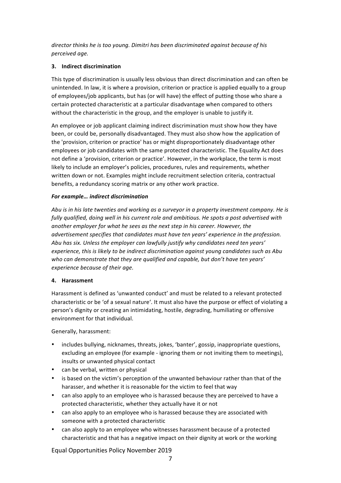director thinks he is too young. Dimitri has been discriminated against because of his *perceived age.* 

### **3. Indirect discrimination**

This type of discrimination is usually less obvious than direct discrimination and can often be unintended. In law, it is where a provision, criterion or practice is applied equally to a group of employees/job applicants, but has (or will have) the effect of putting those who share a certain protected characteristic at a particular disadvantage when compared to others without the characteristic in the group, and the employer is unable to justify it.

An employee or job applicant claiming indirect discrimination must show how they have been, or could be, personally disadvantaged. They must also show how the application of the 'provision, criterion or practice' has or might disproportionately disadvantage other employees or job candidates with the same protected characteristic. The Equality Act does not define a 'provision, criterion or practice'. However, in the workplace, the term is most likely to include an employer's policies, procedures, rules and requirements, whether written down or not. Examples might include recruitment selection criteria, contractual benefits, a redundancy scoring matrix or any other work practice.

#### For example... indirect discrimination

Abu is in his late twenties and working as a surveyor in a property investment company. He is fully qualified, doing well in his current role and ambitious. He spots a post advertised with *another employer for what he sees as the next step in his career. However, the advertisement specifies that candidates must have ten years' experience in the profession.* Abu has six. Unless the employer can lawfully justify why candidates need ten years' experience, this is likely to be indirect discrimination against young candidates such as Abu who can demonstrate that they are qualified and capable, but don't have ten years' *experience because of their age.* 

#### **4. Harassment**

Harassment is defined as 'unwanted conduct' and must be related to a relevant protected characteristic or be 'of a sexual nature'. It must also have the purpose or effect of violating a person's dignity or creating an intimidating, hostile, degrading, humiliating or offensive environment for that individual.

#### Generally, harassment:

- includes bullying, nicknames, threats, jokes, 'banter', gossip, inappropriate questions, excluding an employee (for example - ignoring them or not inviting them to meetings), insults or unwanted physical contact
- can be verbal, written or physical
- is based on the victim's perception of the unwanted behaviour rather than that of the harasser, and whether it is reasonable for the victim to feel that way
- can also apply to an employee who is harassed because they are perceived to have a protected characteristic, whether they actually have it or not
- can also apply to an employee who is harassed because they are associated with someone with a protected characteristic
- can also apply to an employee who witnesses harassment because of a protected characteristic and that has a negative impact on their dignity at work or the working

Equal Opportunities Policy November 2019